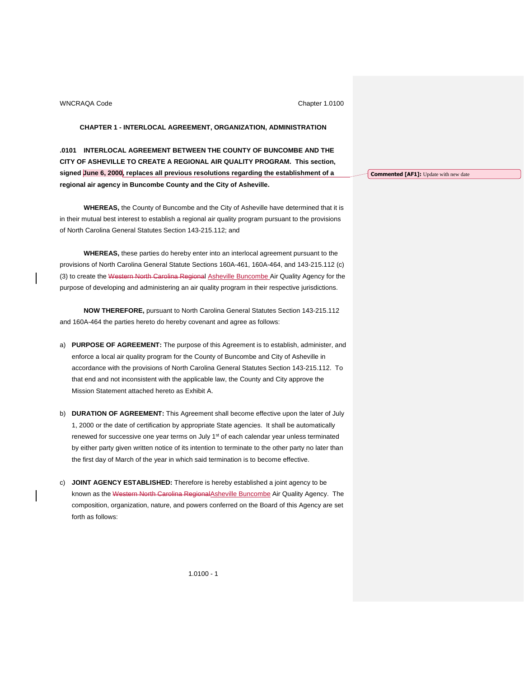# **CHAPTER 1 - INTERLOCAL AGREEMENT, ORGANIZATION, ADMINISTRATION**

**.0101 INTERLOCAL AGREEMENT BETWEEN THE COUNTY OF BUNCOMBE AND THE CITY OF ASHEVILLE TO CREATE A REGIONAL AIR QUALITY PROGRAM. This section, signed June 6, 2000, replaces all previous resolutions regarding the establishment of a regional air agency in Buncombe County and the City of Asheville.**

**WHEREAS,** the County of Buncombe and the City of Asheville have determined that it is in their mutual best interest to establish a regional air quality program pursuant to the provisions of North Carolina General Statutes Section 143-215.112; and

**WHEREAS,** these parties do hereby enter into an interlocal agreement pursuant to the provisions of North Carolina General Statute Sections 160A-461, 160A-464, and 143-215.112 (c) (3) to create the Western North Carolina Regional Asheville Buncombe Air Quality Agency for the purpose of developing and administering an air quality program in their respective jurisdictions.

**NOW THEREFORE,** pursuant to North Carolina General Statutes Section 143-215.112 and 160A-464 the parties hereto do hereby covenant and agree as follows:

- a) **PURPOSE OF AGREEMENT:** The purpose of this Agreement is to establish, administer, and enforce a local air quality program for the County of Buncombe and City of Asheville in accordance with the provisions of North Carolina General Statutes Section 143-215.112. To that end and not inconsistent with the applicable law, the County and City approve the Mission Statement attached hereto as Exhibit A.
- b) **DURATION OF AGREEMENT:** This Agreement shall become effective upon the later of July 1, 2000 or the date of certification by appropriate State agencies. It shall be automatically renewed for successive one year terms on July 1<sup>st</sup> of each calendar year unless terminated by either party given written notice of its intention to terminate to the other party no later than the first day of March of the year in which said termination is to become effective.
- c) **JOINT AGENCY ESTABLISHED:** Therefore is hereby established a joint agency to be known as the Western North Carolina Regional Asheville Buncombe Air Quality Agency. The composition, organization, nature, and powers conferred on the Board of this Agency are set forth as follows:

**Commented [AF1]:** Update with new date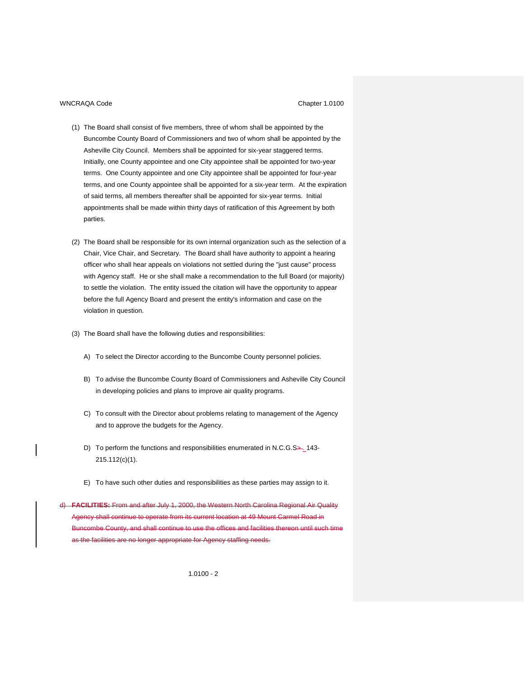- (1) The Board shall consist of five members, three of whom shall be appointed by the Buncombe County Board of Commissioners and two of whom shall be appointed by the Asheville City Council. Members shall be appointed for six-year staggered terms. Initially, one County appointee and one City appointee shall be appointed for two-year terms. One County appointee and one City appointee shall be appointed for four-year terms, and one County appointee shall be appointed for a six-year term. At the expiration of said terms, all members thereafter shall be appointed for six-year terms. Initial appointments shall be made within thirty days of ratification of this Agreement by both parties.
- (2) The Board shall be responsible for its own internal organization such as the selection of a Chair, Vice Chair, and Secretary. The Board shall have authority to appoint a hearing officer who shall hear appeals on violations not settled during the "just cause" process with Agency staff. He or she shall make a recommendation to the full Board (or majority) to settle the violation. The entity issued the citation will have the opportunity to appear before the full Agency Board and present the entity's information and case on the violation in question.
- (3) The Board shall have the following duties and responsibilities:
	- A) To select the Director according to the Buncombe County personnel policies.
	- B) To advise the Buncombe County Board of Commissioners and Asheville City Council in developing policies and plans to improve air quality programs.
	- C) To consult with the Director about problems relating to management of the Agency and to approve the budgets for the Agency.
	- D) To perform the functions and responsibilities enumerated in N.C.G.S>. 143-215.112(c)(1).
	- E) To have such other duties and responsibilities as these parties may assign to it.

d) **FACILITIES:** From and after July 1, 2000, the Western North Carolina Regional Air Quality Agency shall continue to operate from its current location at 49 Mount Carmel Road in combe County, and shall continue to use the offices and facilities thereon until such time as the facilities are no longer appropriate for Agency staffing needs.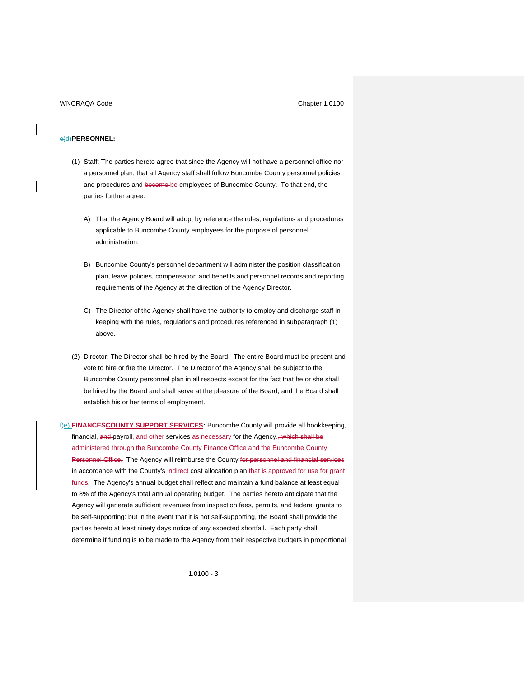## e)d)**PERSONNEL:**

- (1) Staff: The parties hereto agree that since the Agency will not have a personnel office nor a personnel plan, that all Agency staff shall follow Buncombe County personnel policies and procedures and become be employees of Buncombe County. To that end, the parties further agree:
	- A) That the Agency Board will adopt by reference the rules, regulations and procedures applicable to Buncombe County employees for the purpose of personnel administration.
	- B) Buncombe County's personnel department will administer the position classification plan, leave policies, compensation and benefits and personnel records and reporting requirements of the Agency at the direction of the Agency Director.
	- C) The Director of the Agency shall have the authority to employ and discharge staff in keeping with the rules, regulations and procedures referenced in subparagraph (1) above.
- (2) Director: The Director shall be hired by the Board. The entire Board must be present and vote to hire or fire the Director. The Director of the Agency shall be subject to the Buncombe County personnel plan in all respects except for the fact that he or she shall be hired by the Board and shall serve at the pleasure of the Board, and the Board shall establish his or her terms of employment.

f)e) **FINANCESCOUNTY SUPPORT SERVICES:** Buncombe County will provide all bookkeeping, financial, and payroll, and other services as necessary for the Agency<sub>-</sub>, which shall be administered through the Buncombe County Finance Office and the Buncombe County Personnel Office. The Agency will reimburse the County for personnel and financial services in accordance with the County's indirect cost allocation plan that is approved for use for grant funds. The Agency's annual budget shall reflect and maintain a fund balance at least equal to 8% of the Agency's total annual operating budget. The parties hereto anticipate that the Agency will generate sufficient revenues from inspection fees, permits, and federal grants to be self-supporting: but in the event that it is not self-supporting, the Board shall provide the parties hereto at least ninety days notice of any expected shortfall. Each party shall determine if funding is to be made to the Agency from their respective budgets in proportional